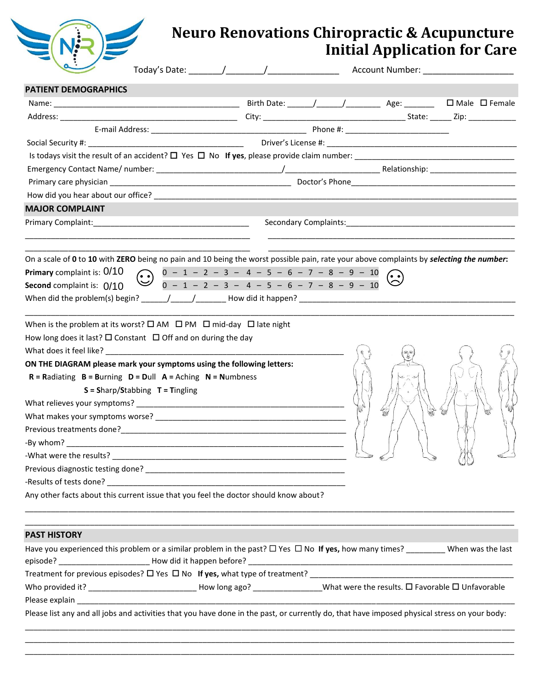

## **Neuro Renovations Chiropractic & Acupuncture Initial Application for Care**

| <b>PATIENT DEMOGRAPHICS</b>                                                                                                                                                                                                                                                                                                                                     |                                                                                                                                                                         |  |                                                                                                                                                                                                                                                                                                                                             |                                                               |       |
|-----------------------------------------------------------------------------------------------------------------------------------------------------------------------------------------------------------------------------------------------------------------------------------------------------------------------------------------------------------------|-------------------------------------------------------------------------------------------------------------------------------------------------------------------------|--|---------------------------------------------------------------------------------------------------------------------------------------------------------------------------------------------------------------------------------------------------------------------------------------------------------------------------------------------|---------------------------------------------------------------|-------|
|                                                                                                                                                                                                                                                                                                                                                                 |                                                                                                                                                                         |  |                                                                                                                                                                                                                                                                                                                                             |                                                               |       |
|                                                                                                                                                                                                                                                                                                                                                                 |                                                                                                                                                                         |  |                                                                                                                                                                                                                                                                                                                                             |                                                               |       |
|                                                                                                                                                                                                                                                                                                                                                                 |                                                                                                                                                                         |  |                                                                                                                                                                                                                                                                                                                                             |                                                               |       |
|                                                                                                                                                                                                                                                                                                                                                                 |                                                                                                                                                                         |  |                                                                                                                                                                                                                                                                                                                                             |                                                               |       |
|                                                                                                                                                                                                                                                                                                                                                                 |                                                                                                                                                                         |  |                                                                                                                                                                                                                                                                                                                                             |                                                               |       |
|                                                                                                                                                                                                                                                                                                                                                                 |                                                                                                                                                                         |  |                                                                                                                                                                                                                                                                                                                                             |                                                               |       |
|                                                                                                                                                                                                                                                                                                                                                                 |                                                                                                                                                                         |  |                                                                                                                                                                                                                                                                                                                                             |                                                               |       |
|                                                                                                                                                                                                                                                                                                                                                                 |                                                                                                                                                                         |  |                                                                                                                                                                                                                                                                                                                                             |                                                               |       |
| <b>MAJOR COMPLAINT</b>                                                                                                                                                                                                                                                                                                                                          |                                                                                                                                                                         |  |                                                                                                                                                                                                                                                                                                                                             |                                                               |       |
| Primary Complaint: National Accounts and Accounts and Accounts and Accounts are also as a series of the Accounts and Accounts are also as a series of the Accounts and Accounts are also as a series of the Accounts and Accou                                                                                                                                  |                                                                                                                                                                         |  |                                                                                                                                                                                                                                                                                                                                             | Secondary Complaints: Management of the Secondary Complaints: |       |
| On a scale of 0 to 10 with ZERO being no pain and 10 being the worst possible pain, rate your above complaints by selecting the number:<br>Primary complaint is: 0/10<br>Second complaint is: 0/10                                                                                                                                                              | $\bigodot \quad \begin{array}{rrrrrrrrrrrrrrrrrr} 0&-&1&-&2&-&3&-&4&-&5&-&6&-&7&-&8&-&9&-&10 \\ \hline 0&-&1&-&2&-&3&-&4&-&5&-&6&-&7&-&8&-&9&-&10 \end{array} \bigodot$ |  |                                                                                                                                                                                                                                                                                                                                             |                                                               |       |
| When is the problem at its worst? $\square$ AM $\square$ PM $\square$ mid-day $\square$ late night<br>How long does it last? $\square$ Constant $\square$ Off and on during the day<br>ON THE DIAGRAM please mark your symptoms using the following letters:<br>$R =$ Radiating $B =$ Burning $D =$ Dull $A =$ Aching $N =$ Numbness<br>-What were the results? | $S =$ Sharp/Stabbing $T =$ Tingling                                                                                                                                     |  | $\begin{picture}(120,111) \put(0,0){\line(1,0){150}} \put(15,0){\line(1,0){150}} \put(15,0){\line(1,0){150}} \put(15,0){\line(1,0){150}} \put(15,0){\line(1,0){150}} \put(15,0){\line(1,0){150}} \put(15,0){\line(1,0){150}} \put(15,0){\line(1,0){150}} \put(15,0){\line(1,0){150}} \put(15,0){\line(1,0){150}} \put(15,0){\line(1,0){150$ | 4m<br>Íт                                                      | $\ll$ |
| Any other facts about this current issue that you feel the doctor should know about?                                                                                                                                                                                                                                                                            |                                                                                                                                                                         |  |                                                                                                                                                                                                                                                                                                                                             |                                                               |       |
| <b>PAST HISTORY</b><br>Have you experienced this problem or a similar problem in the past? $\Box$ Yes $\Box$ No If yes, how many times? _________ When was the last                                                                                                                                                                                             |                                                                                                                                                                         |  |                                                                                                                                                                                                                                                                                                                                             |                                                               |       |
|                                                                                                                                                                                                                                                                                                                                                                 |                                                                                                                                                                         |  |                                                                                                                                                                                                                                                                                                                                             |                                                               |       |
| Who provided it? _______________________________How long ago? __________________What were the results. O Favorable O Unfavorable                                                                                                                                                                                                                                |                                                                                                                                                                         |  |                                                                                                                                                                                                                                                                                                                                             |                                                               |       |

lease list any and all jobs and activities that you have done in the past, or currently do, that have imposed physical stress on your body: \_\_\_\_\_\_\_\_\_\_\_\_\_\_\_\_\_\_\_\_\_\_\_\_\_\_\_\_\_\_\_\_\_\_\_\_\_\_\_\_\_\_\_\_\_\_\_\_\_\_\_\_\_\_\_\_\_\_\_\_\_\_\_\_\_\_\_\_\_\_\_\_\_\_\_\_\_\_\_\_\_\_\_\_\_\_\_\_\_\_\_\_\_\_\_\_\_\_\_\_\_\_\_\_\_\_\_\_\_\_\_\_\_

\_\_\_\_\_\_\_\_\_\_\_\_\_\_\_\_\_\_\_\_\_\_\_\_\_\_\_\_\_\_\_\_\_\_\_\_\_\_\_\_\_\_\_\_\_\_\_\_\_\_\_\_\_\_\_\_\_\_\_\_\_\_\_\_\_\_\_\_\_\_\_\_\_\_\_\_\_\_\_\_\_\_\_\_\_\_\_\_\_\_\_\_\_\_\_\_\_\_\_\_\_\_\_\_\_\_\_\_\_\_\_\_\_ \_\_\_\_\_\_\_\_\_\_\_\_\_\_\_\_\_\_\_\_\_\_\_\_\_\_\_\_\_\_\_\_\_\_\_\_\_\_\_\_\_\_\_\_\_\_\_\_\_\_\_\_\_\_\_\_\_\_\_\_\_\_\_\_\_\_\_\_\_\_\_\_\_\_\_\_\_\_\_\_\_\_\_\_\_\_\_\_\_\_\_\_\_\_\_\_\_\_\_\_\_\_\_\_\_\_\_\_\_\_\_\_\_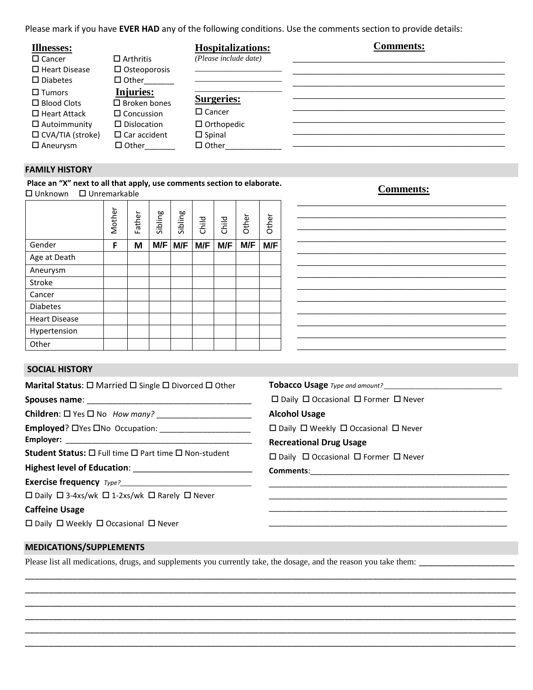Please mark if you have **EVER HAD** any of the following conditions. Use the comments section to provide details:

| <b>Illnesses:</b>       |                     | <b>Hospitalizations:</b> | <b>Comments:</b> |
|-------------------------|---------------------|--------------------------|------------------|
| $\Box$ Cancer           | $\Box$ Arthritis    | (Please include date)    |                  |
| $\Box$ Heart Disease    | $\Box$ Osteoporosis |                          |                  |
| $\square$ Diabetes      | $\Box$ Other        |                          |                  |
| $\Box$ Tumors           | Injuries:           |                          |                  |
| $\Box$ Blood Clots      | $\Box$ Broken bones | <b>Surgeries:</b>        |                  |
| $\Box$ Heart Attack     | $\Box$ Concussion   | $\square$ Cancer         |                  |
| $\Box$ Autoimmunity     | $\Box$ Dislocation  | $\Box$ Orthopedic        |                  |
| $\Box$ CVA/TIA (stroke) | $\Box$ Car accident | $\square$ Spinal         |                  |
| $\Box$ Aneurysm         | $\Box$ Other        | $\Box$ Other             |                  |

#### **FAMILY HISTORY**

**Place an "X" next to all that apply, use comments section to elaborate.**  □ Unknown □ Unremarkable

|                      | Mother | Father | Sibling | Sibling | Child | Child | Other | Other |
|----------------------|--------|--------|---------|---------|-------|-------|-------|-------|
| Gender               | F      | M      | M/F     | M/F     | M/F   | M/F   | M/F   | M/F   |
| Age at Death         |        |        |         |         |       |       |       |       |
| Aneurysm             |        |        |         |         |       |       |       |       |
| Stroke               |        |        |         |         |       |       |       |       |
| Cancer               |        |        |         |         |       |       |       |       |
| <b>Diabetes</b>      |        |        |         |         |       |       |       |       |
| <b>Heart Disease</b> |        |        |         |         |       |       |       |       |
| Hypertension         |        |        |         |         |       |       |       |       |
| Other                |        |        |         |         |       |       |       |       |

#### **Comments:** \_\_\_\_\_\_\_\_\_\_\_\_\_\_\_\_\_\_\_\_\_\_\_\_\_\_\_\_\_\_\_\_\_\_\_\_\_\_\_\_

| <b>SOCIAL HISTORY</b> |
|-----------------------|
|                       |

|                                                                                                                   | Mother | Father | Sibling | Sibling | Child | Child | Other | Other                                                     |  |  |  |  |  |  |  |
|-------------------------------------------------------------------------------------------------------------------|--------|--------|---------|---------|-------|-------|-------|-----------------------------------------------------------|--|--|--|--|--|--|--|
| Gender                                                                                                            | F      | M      | M/F I   | M/F     | M/F   | M/F   | M/F   | M/F                                                       |  |  |  |  |  |  |  |
| Age at Death                                                                                                      |        |        |         |         |       |       |       |                                                           |  |  |  |  |  |  |  |
| Aneurysm                                                                                                          |        |        |         |         |       |       |       |                                                           |  |  |  |  |  |  |  |
| Stroke                                                                                                            |        |        |         |         |       |       |       |                                                           |  |  |  |  |  |  |  |
| Cancer                                                                                                            |        |        |         |         |       |       |       |                                                           |  |  |  |  |  |  |  |
| <b>Diabetes</b>                                                                                                   |        |        |         |         |       |       |       |                                                           |  |  |  |  |  |  |  |
| <b>Heart Disease</b>                                                                                              |        |        |         |         |       |       |       |                                                           |  |  |  |  |  |  |  |
| Hypertension                                                                                                      |        |        |         |         |       |       |       |                                                           |  |  |  |  |  |  |  |
| Other                                                                                                             |        |        |         |         |       |       |       |                                                           |  |  |  |  |  |  |  |
| <b>SOCIAL HISTORY</b>                                                                                             |        |        |         |         |       |       |       |                                                           |  |  |  |  |  |  |  |
| Marital Status: □ Married □ Single □ Divorced □ Other                                                             |        |        |         |         |       |       |       |                                                           |  |  |  |  |  |  |  |
|                                                                                                                   |        |        |         |         |       |       |       | $\Box$ Daily $\Box$ Occasional $\Box$ Former $\Box$ Never |  |  |  |  |  |  |  |
|                                                                                                                   |        |        |         |         |       |       |       | <b>Alcohol Usage</b>                                      |  |  |  |  |  |  |  |
|                                                                                                                   |        |        |         |         |       |       |       | $\Box$ Daily $\Box$ Weekly $\Box$ Occasional $\Box$ Never |  |  |  |  |  |  |  |
|                                                                                                                   |        |        |         |         |       |       |       | <b>Recreational Drug Usage</b>                            |  |  |  |  |  |  |  |
| Student Status: □ Full time □ Part time □ Non-student                                                             |        |        |         |         |       |       |       | □ Daily □ Occasional □ Former □ Never                     |  |  |  |  |  |  |  |
|                                                                                                                   |        |        |         |         |       |       |       |                                                           |  |  |  |  |  |  |  |
|                                                                                                                   |        |        |         |         |       |       |       |                                                           |  |  |  |  |  |  |  |
| □ Daily □ 3-4xs/wk □ 1-2xs/wk □ Rarely □ Never                                                                    |        |        |         |         |       |       |       |                                                           |  |  |  |  |  |  |  |
| <b>Caffeine Usage</b>                                                                                             |        |        |         |         |       |       |       |                                                           |  |  |  |  |  |  |  |
| □ Daily □ Weekly □ Occasional □ Never                                                                             |        |        |         |         |       |       |       |                                                           |  |  |  |  |  |  |  |
| <b>MEDICATIONS/SUPPLEMENTS</b>                                                                                    |        |        |         |         |       |       |       |                                                           |  |  |  |  |  |  |  |
| Please list all medications, drugs, and supplements you currently take, the dosage, and the reason you take them: |        |        |         |         |       |       |       |                                                           |  |  |  |  |  |  |  |
|                                                                                                                   |        |        |         |         |       |       |       |                                                           |  |  |  |  |  |  |  |
|                                                                                                                   |        |        |         |         |       |       |       |                                                           |  |  |  |  |  |  |  |
|                                                                                                                   |        |        |         |         |       |       |       |                                                           |  |  |  |  |  |  |  |
|                                                                                                                   |        |        |         |         |       |       |       |                                                           |  |  |  |  |  |  |  |
|                                                                                                                   |        |        |         |         |       |       |       |                                                           |  |  |  |  |  |  |  |
|                                                                                                                   |        |        |         |         |       |       |       |                                                           |  |  |  |  |  |  |  |

#### **MEDICATIONS/SUPPLEMENTS**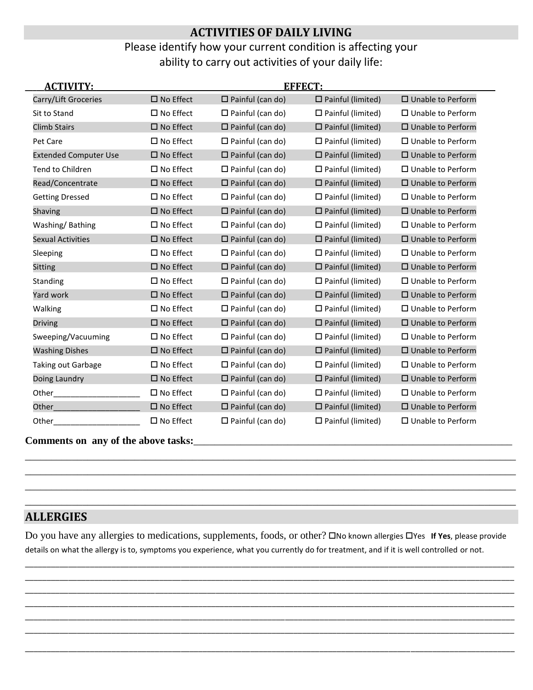## **ACTIVITIES OF DAILY LIVING**

### Please identify how your current condition is affecting your ability to carry out activities of your daily life:

| <b>ACTIVITY:</b>             |                     |                         | <b>EFFECT:</b>              |                             |  |
|------------------------------|---------------------|-------------------------|-----------------------------|-----------------------------|--|
| Carry/Lift Groceries         | $\square$ No Effect | $\Box$ Painful (can do) | $\Box$ Painful (limited)    | $\Box$ Unable to Perform    |  |
| Sit to Stand                 | $\square$ No Effect | $\Box$ Painful (can do) | $\Box$ Painful (limited)    | $\Box$ Unable to Perform    |  |
| <b>Climb Stairs</b>          | $\square$ No Effect | $\Box$ Painful (can do) | $\square$ Painful (limited) | $\square$ Unable to Perform |  |
| Pet Care                     | $\square$ No Effect | $\Box$ Painful (can do) | $\Box$ Painful (limited)    | $\Box$ Unable to Perform    |  |
| <b>Extended Computer Use</b> | $\square$ No Effect | $\Box$ Painful (can do) | $\Box$ Painful (limited)    | □ Unable to Perform         |  |
| <b>Tend to Children</b>      | $\square$ No Effect | $\Box$ Painful (can do) | $\Box$ Painful (limited)    | $\Box$ Unable to Perform    |  |
| Read/Concentrate             | $\square$ No Effect | $\Box$ Painful (can do) | $\Box$ Painful (limited)    | □ Unable to Perform         |  |
| <b>Getting Dressed</b>       | $\square$ No Effect | $\Box$ Painful (can do) | $\Box$ Painful (limited)    | $\Box$ Unable to Perform    |  |
| Shaving                      | $\square$ No Effect | $\Box$ Painful (can do) | $\square$ Painful (limited) | $\Box$ Unable to Perform    |  |
| Washing/Bathing              | $\square$ No Effect | $\Box$ Painful (can do) | $\Box$ Painful (limited)    | $\square$ Unable to Perform |  |
| <b>Sexual Activities</b>     | $\square$ No Effect | $\Box$ Painful (can do) | $\square$ Painful (limited) | $\square$ Unable to Perform |  |
| Sleeping                     | $\square$ No Effect | $\Box$ Painful (can do) | $\Box$ Painful (limited)    | $\Box$ Unable to Perform    |  |
| <b>Sitting</b>               | $\square$ No Effect | $\Box$ Painful (can do) | $\square$ Painful (limited) | □ Unable to Perform         |  |
| Standing                     | $\square$ No Effect | $\Box$ Painful (can do) | $\Box$ Painful (limited)    | $\Box$ Unable to Perform    |  |
| Yard work                    | $\square$ No Effect | $\Box$ Painful (can do) | $\Box$ Painful (limited)    | $\square$ Unable to Perform |  |
| Walking                      | $\square$ No Effect | $\Box$ Painful (can do) | $\Box$ Painful (limited)    | $\Box$ Unable to Perform    |  |
| <b>Driving</b>               | $\square$ No Effect | $\Box$ Painful (can do) | $\Box$ Painful (limited)    | $\square$ Unable to Perform |  |
| Sweeping/Vacuuming           | $\square$ No Effect | $\Box$ Painful (can do) | $\square$ Painful (limited) | $\square$ Unable to Perform |  |
| <b>Washing Dishes</b>        | $\square$ No Effect | $\Box$ Painful (can do) | $\square$ Painful (limited) | $\square$ Unable to Perform |  |
| <b>Taking out Garbage</b>    | $\square$ No Effect | $\Box$ Painful (can do) | $\Box$ Painful (limited)    | □ Unable to Perform         |  |
| Doing Laundry                | $\square$ No Effect | $\Box$ Painful (can do) | $\square$ Painful (limited) | $\square$ Unable to Perform |  |
| Other                        | $\square$ No Effect | $\Box$ Painful (can do) | $\square$ Painful (limited) | $\Box$ Unable to Perform    |  |
| Other                        | $\square$ No Effect | $\Box$ Painful (can do) | $\square$ Painful (limited) | □ Unable to Perform         |  |
| Other                        | $\Box$ No Effect    | $\Box$ Painful (can do) | $\Box$ Painful (limited)    | $\Box$ Unable to Perform    |  |

**Comments on any of the above tasks:**\_\_\_\_\_\_\_\_\_\_\_\_\_\_\_\_\_\_\_\_\_\_\_\_\_\_\_\_\_\_\_\_\_\_\_\_\_\_\_\_\_\_\_\_\_\_\_\_\_\_\_\_\_\_\_\_\_\_\_\_\_

## **ALLERGIES**

Do you have any allergies to medications, supplements, foods, or other? Ono known allergies OYes If Yes, please provide details on what the allergy is to, symptoms you experience, what you currently do for treatment, and if it is well controlled or not.

\_\_\_\_\_\_\_\_\_\_\_\_\_\_\_\_\_\_\_\_\_\_\_\_\_\_\_\_\_\_\_\_\_\_\_\_\_\_\_\_\_\_\_\_\_\_\_\_\_\_\_\_\_\_\_\_\_\_\_\_\_\_\_\_\_\_\_\_\_\_\_\_\_\_\_\_\_\_\_\_\_\_\_\_\_\_\_\_\_\_\_\_\_\_\_\_\_\_\_\_\_\_\_\_\_\_\_\_\_\_\_\_\_ \_\_\_\_\_\_\_\_\_\_\_\_\_\_\_\_\_\_\_\_\_\_\_\_\_\_\_\_\_\_\_\_\_\_\_\_\_\_\_\_\_\_\_\_\_\_\_\_\_\_\_\_\_\_\_\_\_\_\_\_\_\_\_\_\_\_\_\_\_\_\_\_\_\_\_\_\_\_\_\_\_\_\_\_\_\_\_\_\_\_\_\_\_\_\_\_\_\_\_\_\_\_\_\_\_\_\_\_\_\_\_\_\_ \_\_\_\_\_\_\_\_\_\_\_\_\_\_\_\_\_\_\_\_\_\_\_\_\_\_\_\_\_\_\_\_\_\_\_\_\_\_\_\_\_\_\_\_\_\_\_\_\_\_\_\_\_\_\_\_\_\_\_\_\_\_\_\_\_\_\_\_\_\_\_\_\_\_\_\_\_\_\_\_\_\_\_\_\_\_\_\_\_\_\_\_\_\_\_\_\_\_\_\_\_\_\_\_\_\_\_\_\_\_\_\_\_ \_\_\_\_\_\_\_\_\_\_\_\_\_\_\_\_\_\_\_\_\_\_\_\_\_\_\_\_\_\_\_\_\_\_\_\_\_\_\_\_\_\_\_\_\_\_\_\_\_\_\_\_\_\_\_\_\_\_\_\_\_\_\_\_\_\_\_\_\_\_\_\_\_\_\_\_\_\_\_\_\_\_\_\_\_\_\_\_\_\_\_\_\_\_\_\_\_\_\_\_\_\_\_\_\_\_\_\_\_\_\_\_\_ \_\_\_\_\_\_\_\_\_\_\_\_\_\_\_\_\_\_\_\_\_\_\_\_\_\_\_\_\_\_\_\_\_\_\_\_\_\_\_\_\_\_\_\_\_\_\_\_\_\_\_\_\_\_\_\_\_\_\_\_\_\_\_\_\_\_\_\_\_\_\_\_\_\_\_\_\_\_\_\_\_\_\_\_\_\_\_\_\_\_\_\_\_\_\_\_\_\_\_\_\_\_\_\_\_\_\_\_\_\_\_\_\_ \_\_\_\_\_\_\_\_\_\_\_\_\_\_\_\_\_\_\_\_\_\_\_\_\_\_\_\_\_\_\_\_\_\_\_\_\_\_\_\_\_\_\_\_\_\_\_\_\_\_\_\_\_\_\_\_\_\_\_\_\_\_\_\_\_\_\_\_\_\_\_\_\_\_\_\_\_\_\_\_\_\_\_\_\_\_\_\_\_\_\_\_\_\_\_\_\_\_\_\_\_\_\_\_\_\_\_\_\_\_\_\_\_

\_\_\_\_\_\_\_\_\_\_\_\_\_\_\_\_\_\_\_\_\_\_\_\_\_\_\_\_\_\_\_\_\_\_\_\_\_\_\_\_\_\_\_\_\_\_\_\_\_\_\_\_\_\_\_\_\_\_\_\_\_\_\_\_\_\_\_\_\_\_\_\_\_\_\_\_\_\_\_\_\_\_\_\_\_\_\_\_\_\_\_\_\_\_\_\_\_\_\_\_\_\_\_\_\_\_\_\_\_\_\_\_\_

\_\_\_\_\_\_\_\_\_\_\_\_\_\_\_\_\_\_\_\_\_\_\_\_\_\_\_\_\_\_\_\_\_\_\_\_\_\_\_\_\_\_\_\_\_\_\_\_\_\_\_\_\_\_\_\_\_\_\_\_\_\_\_\_\_\_\_\_\_\_\_\_\_\_\_\_\_\_\_\_\_\_\_\_\_\_\_\_\_\_\_\_\_\_ \_\_\_\_\_\_\_\_\_\_\_\_\_\_\_\_\_\_\_\_\_\_\_\_\_\_\_\_\_\_\_\_\_\_\_\_\_\_\_\_\_\_\_\_\_\_\_\_\_\_\_\_\_\_\_\_\_\_\_\_\_\_\_\_\_\_\_\_\_\_\_\_\_\_\_\_\_\_\_\_\_\_\_\_\_\_\_\_\_\_\_\_\_\_ \_\_\_\_\_\_\_\_\_\_\_\_\_\_\_\_\_\_\_\_\_\_\_\_\_\_\_\_\_\_\_\_\_\_\_\_\_\_\_\_\_\_\_\_\_\_\_\_\_\_\_\_\_\_\_\_\_\_\_\_\_\_\_\_\_\_\_\_\_\_\_\_\_\_\_\_\_\_\_\_\_\_\_\_\_\_\_\_\_\_\_\_\_\_ \_\_\_\_\_\_\_\_\_\_\_\_\_\_\_\_\_\_\_\_\_\_\_\_\_\_\_\_\_\_\_\_\_\_\_\_\_\_\_\_\_\_\_\_\_\_\_\_\_\_\_\_\_\_\_\_\_\_\_\_\_\_\_\_\_\_\_\_\_\_\_\_\_\_\_\_\_\_\_\_\_\_\_\_\_\_\_\_\_\_\_\_\_\_